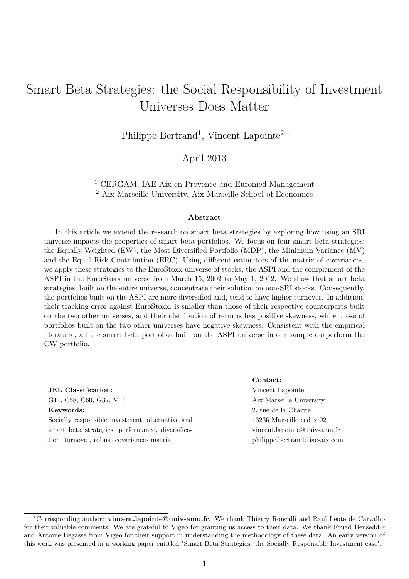# Smart Beta Strategies: the Social Responsibility of Investment Universes Does Matter

Philippe Bertrand<sup>1</sup>, Vincent Lapointe<sup>2</sup><sup>∗</sup>

April 2013

<sup>1</sup> CERGAM, IAE Aix-en-Provence and Euromed Management <sup>2</sup> Aix-Marseille University, Aix-Marseille School of Economics

#### **Abstract**

In this article we extend the research on smart beta strategies by exploring how using an SRI universe impacts the properties of smart beta portfolios. We focus on four smart beta strategies: the Equally Weighted (EW), the Most Diversified Portfolio (MDP), the Minimum Variance (MV) and the Equal Risk Contribution (ERC). Using different estimators of the matrix of covariances, we apply these strategies to the EuroStoxx universe of stocks, the ASPI and the complement of the ASPI in the EuroStoxx universe from March 15, 2002 to May 1, 2012. We show that smart beta strategies, built on the entire universe, concentrate their solution on non-SRI stocks. Consequently, the portfolios built on the ASPI are more diversified and, tend to have higher turnover. In addition, their tracking error against EuroStoxx, is smaller than those of their respective counterparts built on the two other universes, and their distribution of returns has positive skewness, while those of portfolios built on the two other universes have negative skewness. Consistent with the empirical literature, all the smart beta portfolios built on the ASPI universe in our sample outperform the CW portfolio.

**JEL Classification:** G11, C58, C60, G32, M14 **Keywords:** Socially responsible investment, alternative and

smart beta strategies, performance, diversification, turnover, robust covariances matrix

#### **Contact:**

Vincent Lapointe, Aix Marseille University 2, rue de la Charité 13236 Marseille cedex 02 vincent.lapointe@univ-amu.fr philippe.bertrand@iae-aix.com

<sup>∗</sup>Corresponding author: **vincent.lapointe@univ-amu.fr**. We thank Thierry Roncalli and Raul Leote de Carvalho for their valuable comments. We are grateful to Vigeo for granting us access to their data. We thank Fouad Benseddik and Antoine Begasse from Vigeo for their support in understanding the methodology of these data. An early version of this work was presented in a working paper entitled "Smart Beta Strategies: the Socially Responsible Investment case".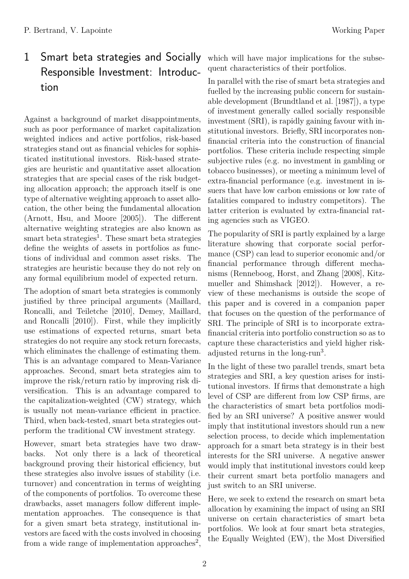# 1 Smart beta strategies and Socially Responsible Investment: Introduction

Against a background of market disappointments, such as poor performance of market capitalization weighted indices and active portfolios, risk-based strategies stand out as financial vehicles for sophisticated institutional investors. Risk-based strategies are heuristic and quantitative asset allocation strategies that are special cases of the risk budgeting allocation approach; the approach itself is one type of alternative weighting approach to asset allocation, the other being the fundamental allocation (Arnott, Hsu, and Moore [2005]). The different alternative weighting strategies are also known as smart beta strategies<sup>1</sup>. These smart beta strategies define the weights of assets in portfolios as functions of individual and common asset risks. The strategies are heuristic because they do not rely on any formal equilibrium model of expected return.

The adoption of smart beta strategies is commonly justified by three principal arguments (Maillard, Roncalli, and Teiletche [2010], Demey, Maillard, and Roncalli [2010]). First, while they implicitly use estimations of expected returns, smart beta strategies do not require any stock return forecasts, which eliminates the challenge of estimating them. This is an advantage compared to Mean-Variance approaches. Second, smart beta strategies aim to improve the risk/return ratio by improving risk diversification. This is an advantage compared to the capitalization-weighted (CW) strategy, which is usually not mean-variance efficient in practice. Third, when back-tested, smart beta strategies outperform the traditional CW investment strategy.

However, smart beta strategies have two drawbacks. Not only there is a lack of theoretical background proving their historical efficiency, but these strategies also involve issues of stability (i.e. turnover) and concentration in terms of weighting of the components of portfolios. To overcome these drawbacks, asset managers follow different implementation approaches. The consequence is that for a given smart beta strategy, institutional investors are faced with the costs involved in choosing from a wide range of implementation approaches<sup>2</sup>,

which will have major implications for the subsequent characteristics of their portfolios.

In parallel with the rise of smart beta strategies and fuelled by the increasing public concern for sustainable development (Brundtland et al. [1987]), a type of investment generally called socially responsible investment (SRI), is rapidly gaining favour with institutional investors. Briefly, SRI incorporates nonfinancial criteria into the construction of financial portfolios. These criteria include respecting simple subjective rules (e.g. no investment in gambling or tobacco businesses), or meeting a minimum level of extra-financial performance (e.g. investment in issuers that have low carbon emissions or low rate of fatalities compared to industry competitors). The latter criterion is evaluated by extra-financial rating agencies such as VIGEO.

The popularity of SRI is partly explained by a large literature showing that corporate social performance (CSP) can lead to superior economic and/or financial performance through different mechanisms (Renneboog, Horst, and Zhang [2008], Kitzmueller and Shimshack [2012]). However, a review of these mechanisms is outside the scope of this paper and is covered in a companion paper that focuses on the question of the performance of SRI. The principle of SRI is to incorporate extrafinancial criteria into portfolio construction so as to capture these characteristics and yield higher riskadjusted returns in the long-run<sup>3</sup>.

In the light of these two parallel trends, smart beta strategies and SRI, a key question arises for institutional investors. If firms that demonstrate a high level of CSP are different from low CSP firms, are the characteristics of smart beta portfolios modified by an SRI universe? A positive answer would imply that institutional investors should run a new selection process, to decide which implementation approach for a smart beta strategy is in their best interests for the SRI universe. A negative answer would imply that institutional investors could keep their current smart beta portfolio managers and just switch to an SRI universe.

Here, we seek to extend the research on smart beta allocation by examining the impact of using an SRI universe on certain characteristics of smart beta portfolios. We look at four smart beta strategies, the Equally Weighted (EW), the Most Diversified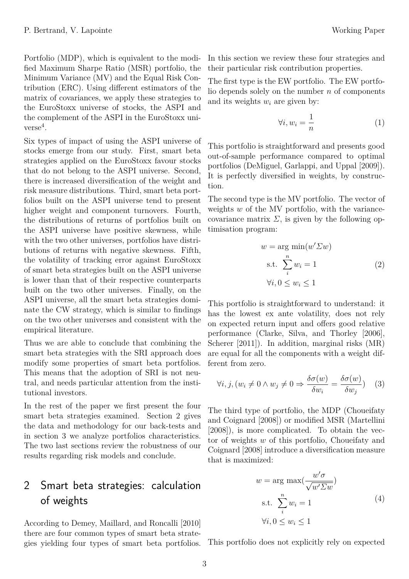Portfolio (MDP), which is equivalent to the modified Maximum Sharpe Ratio (MSR) portfolio, the Minimum Variance (MV) and the Equal Risk Contribution (ERC). Using different estimators of the matrix of covariances, we apply these strategies to the EuroStoxx universe of stocks, the ASPI and the complement of the ASPI in the EuroStoxx uni $verse<sup>4</sup>$ .

Six types of impact of using the ASPI universe of stocks emerge from our study. First, smart beta strategies applied on the EuroStoxx favour stocks that do not belong to the ASPI universe. Second, there is increased diversification of the weight and risk measure distributions. Third, smart beta portfolios built on the ASPI universe tend to present higher weight and component turnovers. Fourth, the distributions of returns of portfolios built on the ASPI universe have positive skewness, while with the two other universes, portfolios have distributions of returns with negative skewness. Fifth, the volatility of tracking error against EuroStoxx of smart beta strategies built on the ASPI universe is lower than that of their respective counterparts built on the two other universes. Finally, on the ASPI universe, all the smart beta strategies dominate the CW strategy, which is similar to findings on the two other universes and consistent with the empirical literature.

Thus we are able to conclude that combining the smart beta strategies with the SRI approach does modify some properties of smart beta portfolios. This means that the adoption of SRI is not neutral, and needs particular attention from the institutional investors.

In the rest of the paper we first present the four smart beta strategies examined. Section 2 gives the data and methodology for our back-tests and in section 3 we analyze portfolios characteristics. The two last sections review the robustness of our results regarding risk models and conclude.

## 2 Smart beta strategies: calculation of weights

According to Demey, Maillard, and Roncalli [2010] there are four common types of smart beta strategies yielding four types of smart beta portfolios. In this section we review these four strategies and their particular risk contribution properties.

The first type is the EW portfolio. The EW portfolio depends solely on the number *n* of components and its weights  $w_i$  are given by:

$$
\forall i, w_i = \frac{1}{n} \tag{1}
$$

This portfolio is straightforward and presents good out-of-sample performance compared to optimal portfolios (DeMiguel, Garlappi, and Uppal [2009]). It is perfectly diversified in weights, by construction.

The second type is the MV portfolio. The vector of weights *w* of the MV portfolio, with the variancecovariance matrix  $\Sigma$ , is given by the following optimisation program:

$$
w = \arg \min(w' \Sigma w)
$$
  
s.t. 
$$
\sum_{i}^{n} w_{i} = 1
$$
 (2)  

$$
\forall i, 0 \le w_{i} \le 1
$$

This portfolio is straightforward to understand: it has the lowest ex ante volatility, does not rely on expected return input and offers good relative performance (Clarke, Silva, and Thorley [2006], Scherer [2011]). In addition, marginal risks (MR) are equal for all the components with a weight different from zero.

$$
\forall i, j, (w_i \neq 0 \land w_j \neq 0 \Rightarrow \frac{\delta \sigma(w)}{\delta w_i} = \frac{\delta \sigma(w)}{\delta w_j}) \quad (3)
$$

The third type of portfolio, the MDP (Choueifaty and Coignard [2008]) or modified MSR (Martellini [2008]), is more complicated. To obtain the vector of weights *w* of this portfolio, Choueifaty and Coignard [2008] introduce a diversification measure that is maximized:

$$
w = \arg \max (\frac{w'\sigma}{\sqrt{w'\Sigma w}})
$$
  
s.t. 
$$
\sum_{i}^{n} w_i = 1
$$
  

$$
\forall i, 0 \le w_i \le 1
$$
 (4)

This portfolio does not explicitly rely on expected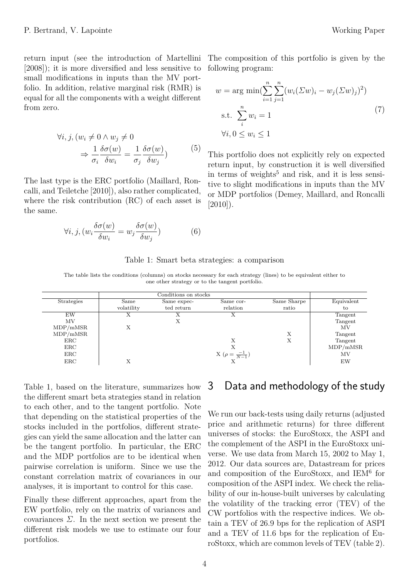return input (see the introduction of Martellini The composition of this portfolio is given by the [2008]); it is more diversified and less sensitive to small modifications in inputs than the MV portfolio. In addition, relative marginal risk (RMR) is equal for all the components with a weight different from zero.

$$
\forall i, j, (w_i \neq 0 \land w_j \neq 0
$$
  
\n
$$
\Rightarrow \frac{1}{\sigma_i} \frac{\delta \sigma(w)}{\delta w_i} = \frac{1}{\sigma_j} \frac{\delta \sigma(w)}{\delta w_j})
$$
 (5)

The last type is the ERC portfolio (Maillard, Roncalli, and Teiletche [2010]), also rather complicated, where the risk contribution (RC) of each asset is the same.

$$
\forall i, j, (w_i \frac{\delta \sigma(w)}{\delta w_i} = w_j \frac{\delta \sigma(w)}{\delta w_j})
$$
 (6)

following program:

$$
w = \arg \min(\sum_{i=1}^{n} \sum_{j=1}^{n} (w_i(\Sigma w)_i - w_j(\Sigma w)_j)^2)
$$
  
s.t. 
$$
\sum_{i}^{n} w_i = 1
$$
  

$$
\forall i, 0 \le w_i \le 1
$$
 (7)

This portfolio does not explicitly rely on expected return input, by construction it is well diversified in terms of weights<sup>5</sup> and risk, and it is less sensitive to slight modifications in inputs than the MV or MDP portfolios (Demey, Maillard, and Roncalli [2010]).

|  |  |  | Table 1: Smart beta strategies: a comparison |
|--|--|--|----------------------------------------------|
|  |  |  |                                              |

The table lists the conditions (columns) on stocks necessary for each strategy (lines) to be equivalent either to one other strategy or to the tangent portfolio.

|                   |            | Conditions on stocks |                               |             |            |
|-------------------|------------|----------------------|-------------------------------|-------------|------------|
| <b>Strategies</b> | Same       | Same expec-          | Same cor-                     | Same Sharpe | Equivalent |
|                   | volatility | ted return           | relation                      | ratio       | to         |
| EW                | х          |                      | Х                             |             | Tangent    |
| MV                |            | Х                    |                               |             | Tangent    |
| MDP/mMSR          | Х          |                      |                               |             | ΜV         |
| MDP/mMSR          |            |                      |                               | Х           | Tangent    |
| ERC               |            |                      | Х                             |             | Tangent    |
| $_{\rm ERC}$      |            |                      |                               |             | MDP/mMSR   |
| ERC               |            |                      | X ( $\rho = \frac{-1}{N-1}$ ) |             | ΜV         |
| ERC               |            |                      |                               |             | EW         |

Table 1, based on the literature, summarizes how the different smart beta strategies stand in relation to each other, and to the tangent portfolio. Note that depending on the statistical properties of the stocks included in the portfolios, different strategies can yield the same allocation and the latter can be the tangent portfolio. In particular, the ERC and the MDP portfolios are to be identical when pairwise correlation is uniform. Since we use the constant correlation matrix of covariances in our analyses, it is important to control for this case.

Finally these different approaches, apart from the EW portfolio, rely on the matrix of variances and covariances *Σ*. In the next section we present the different risk models we use to estimate our four portfolios.

## 3 Data and methodology of the study

We run our back-tests using daily returns (adjusted price and arithmetic returns) for three different universes of stocks: the EuroStoxx, the ASPI and the complement of the ASPI in the EuroStoxx universe. We use data from March 15, 2002 to May 1, 2012. Our data sources are, Datastream for prices and composition of the EuroStoxx, and IEM<sup>6</sup> for composition of the ASPI index. We check the reliability of our in-house-built universes by calculating the volatility of the tracking error (TEV) of the CW portfolios with the respective indices. We obtain a TEV of 26.9 bps for the replication of ASPI and a TEV of 11.6 bps for the replication of EuroStoxx, which are common levels of TEV (table 2).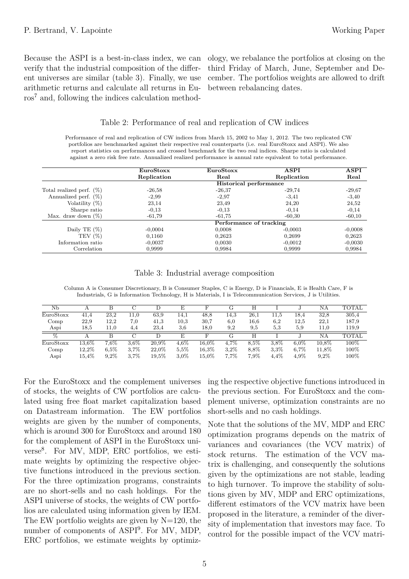Because the ASPI is a best-in-class index, we can verify that the industrial composition of the different universes are similar (table 3). Finally, we use arithmetic returns and calculate all returns in Euros<sup>7</sup> and, following the indices calculation methodology, we rebalance the portfolios at closing on the third Friday of March, June, September and December. The portfolios weights are allowed to drift between rebalancing dates.

### Table 2: Performance of real and replication of CW indices

Performance of real and replication of CW indices from March 15, 2002 to May 1, 2012. The two replicated CW portfolios are benchmarked against their respective real counterparts (i.e. real EuroStoxx and ASPI). We also report statistics on performances and crossed benchmark for the two real indices. Sharpe ratio is calculated against a zero risk free rate. Annualized realized performance is annual rate equivalent to total performance.

|                             | EuroStoxx   | EuroStoxx               | <b>ASPI</b> | <b>ASPI</b> |
|-----------------------------|-------------|-------------------------|-------------|-------------|
|                             | Replication | Real                    | Real        |             |
|                             |             | Historical performance  |             |             |
| Total realized perf. $(\%)$ | $-26,58$    | $-26,37$                | $-29,74$    | $-29,67$    |
| Annualized perf. $(\%)$     | $-2.99$     | $-2.97$                 | $-3,41$     | $-3,40$     |
| Volatility $(\%)$           | 23,14       | 23,49                   | 24,20       | 24,52       |
| Sharpe ratio                | $-0.13$     | $-0.13$                 | $-0.14$     | $-0.14$     |
| Max. draw down $(\%)$       | $-61,79$    | -61.75<br>-60.30        |             | $-60,10$    |
|                             |             | Performance of tracking |             |             |
| Daily TE $(\%)$             | $-0,0004$   | 0,0008                  | $-0.0003$   | $-0,0008$   |
| TEV $(\%)$                  | 0.1160      | 0.2623                  | 0.2699      | 0.2623      |
| Information ratio           | $-0.0037$   | 0,0030                  | $-0.0012$   | $-0,0030$   |
| Correlation                 | 0.9999      | 0,9984                  | 0.9999      | 0.9984      |

### Table 3: Industrial average composition

Column A is Consumer Discretionary, B is Consumer Staples, C is Energy, D is Financials, E is Health Care, F is Industrials, G is Information Technology, H is Materials, I is Telecommunication Services, J is Utilities.

| Nb              |           |         |      |       | E       |          | G       | Н         |           |           | NΑ    | <b>TOTAL</b> |
|-----------------|-----------|---------|------|-------|---------|----------|---------|-----------|-----------|-----------|-------|--------------|
| EuroStoxx       | 41,4      | 23,2    | 11,0 | 63,9  | 14.1    | 48,8     | 14,3    | 26,1      | $^{11.5}$ | 18.4      | 32,8  | 305,4        |
| Comp            | 22,9      | 12,2    | 7.0  | 41,3  | 10.3    | 30,7     | 6,0     | $^{16.6}$ | 6,2       | $^{12.5}$ | 22,1  | 187,9        |
| Aspi            | $^{18.5}$ | 11,0    | 4,4  | 23,4  | 3,6     | 18,0     | 9,2     | 9.5       | 5.3       | 5,9       | 11,0  | 119,9        |
| $\overline{\%}$ |           |         | С    |       | E       |          | G       | Н         |           |           | NΑ    | <b>TOTAL</b> |
| EuroStoxx       | 13,6%     | $7.6\%$ | 3.6% | 20.9% | $4.6\%$ | $16.0\%$ | 4,7%    | 8.5%      | 3.8%      | $6.0\%$   | 10.8% | $100\%$      |
| Comp            | 12,2%     | $6.5\%$ | 3.7% | 22,0% | 5.5%    | $16.3\%$ | $3.2\%$ | 8,8%      | 3.3%      | $6.7\%$   | 11.8% | $100\%$      |
| Aspi            | 15,4%     | 9.2%    | 3.7% | 19.5% | 3.0%    | $15.0\%$ | 7,7%    | $7,9\%$   | 4.4%      | 4.9%      | 9.2%  | $100\%$      |

For the EuroStoxx and the complement universes of stocks, the weights of CW portfolios are calculated using free float market capitalization based on Datastream information. The EW portfolios weights are given by the number of components, which is around 300 for EuroStoxx and around 180 for the complement of ASPI in the EuroStoxx universe<sup>8</sup> . For MV, MDP, ERC portfolios, we estimate weights by optimizing the respective objective functions introduced in the previous section. For the three optimization programs, constraints are no short-sells and no cash holdings. For the ASPI universe of stocks, the weights of CW portfolios are calculated using information given by IEM. The EW portfolio weights are given by  $N=120$ , the number of components of ASPI<sup>9</sup> . For MV, MDP, ERC portfolios, we estimate weights by optimizing the respective objective functions introduced in the previous section. For EuroStoxx and the complement universe, optimization constraints are no short-sells and no cash holdings.

Note that the solutions of the MV, MDP and ERC optimization programs depends on the matrix of variances and covariances (the VCV matrix) of stock returns. The estimation of the VCV matrix is challenging, and consequently the solutions given by the optimizations are not stable, leading to high turnover. To improve the stability of solutions given by MV, MDP and ERC optimizations, different estimators of the VCV matrix have been proposed in the literature, a reminder of the diversity of implementation that investors may face. To control for the possible impact of the VCV matri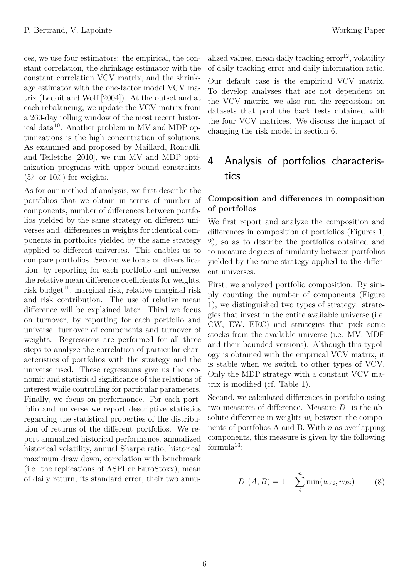ces, we use four estimators: the empirical, the constant correlation, the shrinkage estimator with the constant correlation VCV matrix, and the shrinkage estimator with the one-factor model VCV matrix (Ledoit and Wolf [2004]). At the outset and at each rebalancing, we update the VCV matrix from a 260-day rolling window of the most recent historical data<sup>10</sup>. Another problem in MV and MDP optimizations is the high concentration of solutions. As examined and proposed by Maillard, Roncalli, and Teiletche [2010], we run MV and MDP optimization programs with upper-bound constraints  $(5\% \text{ or } 10\%)$  for weights.

As for our method of analysis, we first describe the portfolios that we obtain in terms of number of components, number of differences between portfolios yielded by the same strategy on different universes and, differences in weights for identical components in portfolios yielded by the same strategy applied to different universes. This enables us to compare portfolios. Second we focus on diversification, by reporting for each portfolio and universe, the relative mean difference coefficients for weights, risk budget<sup>11</sup>, marginal risk, relative marginal risk and risk contribution. The use of relative mean difference will be explained later. Third we focus on turnover, by reporting for each portfolio and universe, turnover of components and turnover of weights. Regressions are performed for all three steps to analyze the correlation of particular characteristics of portfolios with the strategy and the universe used. These regressions give us the economic and statistical significance of the relations of interest while controlling for particular parameters. Finally, we focus on performance. For each portfolio and universe we report descriptive statistics regarding the statistical properties of the distribution of returns of the different portfolios. We report annualized historical performance, annualized historical volatility, annual Sharpe ratio, historical maximum draw down, correlation with benchmark (i.e. the replications of ASPI or EuroStoxx), mean of daily return, its standard error, their two annualized values, mean daily tracking  $error<sup>12</sup>$ , volatility of daily tracking error and daily information ratio.

Our default case is the empirical VCV matrix. To develop analyses that are not dependent on the VCV matrix, we also run the regressions on datasets that pool the back tests obtained with the four VCV matrices. We discuss the impact of changing the risk model in section 6.

# 4 Analysis of portfolios characteristics

## **Composition and differences in composition of portfolios**

We first report and analyze the composition and differences in composition of portfolios (Figures 1, 2), so as to describe the portfolios obtained and to measure degrees of similarity between portfolios yielded by the same strategy applied to the different universes.

First, we analyzed portfolio composition. By simply counting the number of components (Figure 1), we distinguished two types of strategy: strategies that invest in the entire available universe (i.e. CW, EW, ERC) and strategies that pick some stocks from the available universe (i.e. MV, MDP and their bounded versions). Although this typology is obtained with the empirical VCV matrix, it is stable when we switch to other types of VCV. Only the MDP strategy with a constant VCV matrix is modified (cf. Table 1).

Second, we calculated differences in portfolio using two measures of difference. Measure  $D_1$  is the absolute difference in weights  $w_i$  between the components of portfolios A and B. With *n* as overlapping components, this measure is given by the following formula $^{13}$ :

$$
D_1(A, B) = 1 - \sum_{i}^{n} \min(w_{Ai}, w_{Bi})
$$
 (8)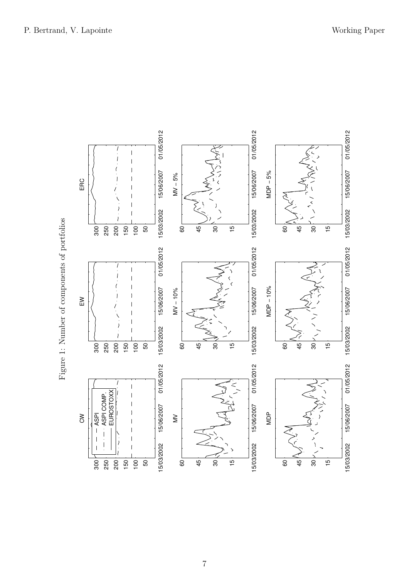

Figure 1: Number of components of portfolios Figure 1: Number of components of portfolios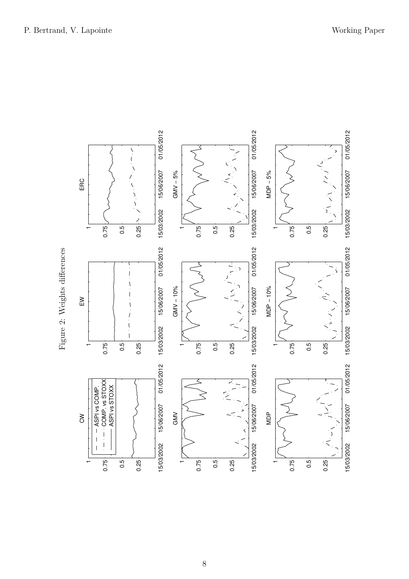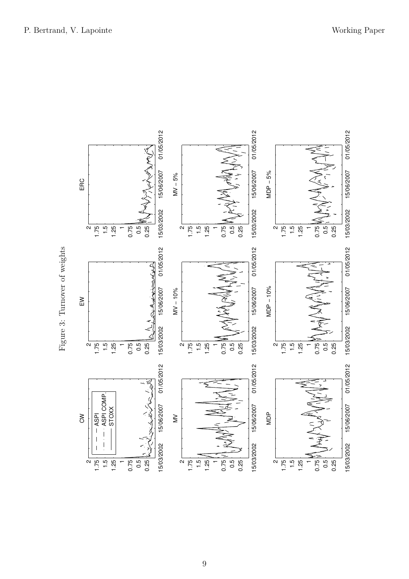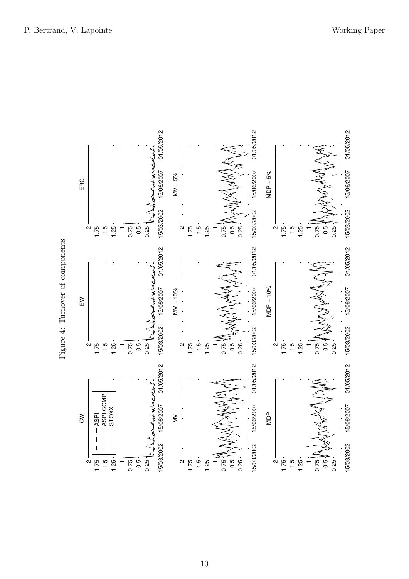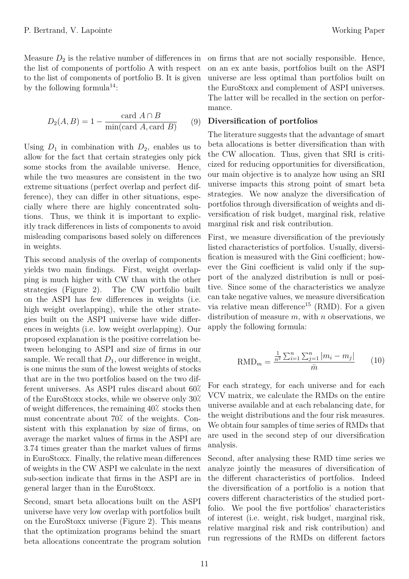Measure  $D_2$  is the relative number of differences in the list of components of portfolio A with respect to the list of components of portfolio B. It is given by the following formula<sup>14</sup>:

$$
D_2(A, B) = 1 - \frac{\text{card } A \cap B}{\min(\text{card } A, \text{card } B)} \tag{9}
$$

Using  $D_1$  in combination with  $D_2$ , enables us to allow for the fact that certain strategies only pick some stocks from the available universe. Hence, while the two measures are consistent in the two extreme situations (perfect overlap and perfect difference), they can differ in other situations, especially where there are highly concentrated solutions. Thus, we think it is important to explicitly track differences in lists of components to avoid misleading comparisons based solely on differences in weights.

This second analysis of the overlap of components yields two main findings. First, weight overlapping is much higher with CW than with the other strategies (Figure 2). The CW portfolio built on the ASPI has few differences in weights (i.e. high weight overlapping), while the other strategies built on the ASPI universe have wide differences in weights (i.e. low weight overlapping). Our proposed explanation is the positive correlation between belonging to ASPI and size of firms in our sample. We recall that  $D_1$ , our difference in weight, is one minus the sum of the lowest weights of stocks that are in the two portfolios based on the two different universes. As ASPI rules discard about 60 of the EuroStoxx stocks, while we observe only 30 of weight differences, the remaining  $40<sup>′</sup>$  stocks then must concentrate about  $70<sup>2</sup>$  of the weights. Consistent with this explanation by size of firms, on average the market values of firms in the ASPI are 3.74 times greater than the market values of firms in EuroStoxx. Finally, the relative mean differences of weights in the CW ASPI we calculate in the next sub-section indicate that firms in the ASPI are in general larger than in the EuroStoxx.

Second, smart beta allocations built on the ASPI universe have very low overlap with portfolios built on the EuroStoxx universe (Figure 2). This means that the optimization programs behind the smart beta allocations concentrate the program solution on firms that are not socially responsible. Hence, on an ex ante basis, portfolios built on the ASPI universe are less optimal than portfolios built on the EuroStoxx and complement of ASPI universes. The latter will be recalled in the section on performance.

### **Diversification of portfolios**

The literature suggests that the advantage of smart beta allocations is better diversification than with the CW allocation. Thus, given that SRI is criticized for reducing opportunities for diversification, our main objective is to analyze how using an SRI universe impacts this strong point of smart beta strategies. We now analyze the diversification of portfolios through diversification of weights and diversification of risk budget, marginal risk, relative marginal risk and risk contribution.

First, we measure diversification of the previously listed characteristics of portfolios. Usually, diversification is measured with the Gini coefficient; however the Gini coefficient is valid only if the support of the analyzed distribution is null or positive. Since some of the characteristics we analyze can take negative values, we measure diversification via relative mean difference<sup>15</sup> (RMD). For a given distribution of measure *m*, with *n* observations, we apply the following formula:

$$
RMD_m = \frac{\frac{1}{n^2} \sum_{i=1}^n \sum_{j=1}^n |m_i - m_j|}{\bar{m}} \qquad (10)
$$

For each strategy, for each universe and for each VCV matrix, we calculate the RMDs on the entire universe available and at each rebalancing date, for the weight distributions and the four risk measures. We obtain four samples of time series of RMDs that are used in the second step of our diversification analysis.

Second, after analysing these RMD time series we analyze jointly the measures of diversification of the different characteristics of portfolios. Indeed the diversification of a portfolio is a notion that covers different characteristics of the studied portfolio. We pool the five portfolios' characteristics of interest (i.e. weight, risk budget, marginal risk, relative marginal risk and risk contribution) and run regressions of the RMDs on different factors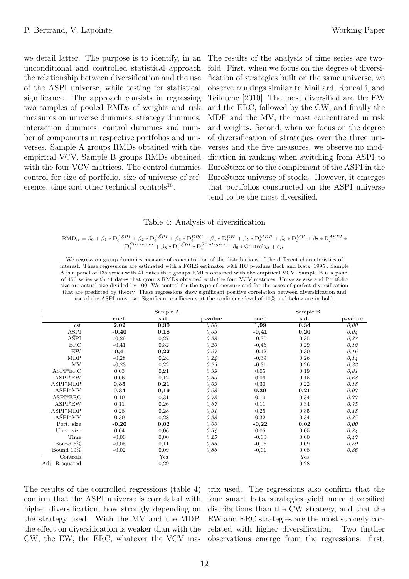we detail latter. The purpose is to identify, in an unconditional and controlled statistical approach the relationship between diversification and the use of the ASPI universe, while testing for statistical significance. The approach consists in regressing two samples of pooled RMDs of weights and risk measures on universe dummies, strategy dummies, interaction dummies, control dummies and number of components in respective portfolios and universes. Sample A groups RMDs obtained with the empirical VCV. Sample B groups RMDs obtained with the four VCV matrices. The control dummies control for size of portfolio, size of universe of reference, time and other technical controls<sup>16</sup>.

The results of the analysis of time series are twofold. First, when we focus on the degree of diversification of strategies built on the same universe, we observe rankings similar to Maillard, Roncalli, and Teiletche [2010]. The most diversified are the EW and the ERC, followed by the CW, and finally the MDP and the MV, the most concentrated in risk and weights. Second, when we focus on the degree of diversification of strategies over the three universes and the five measures, we observe no modification in ranking when switching from ASPI to EuroStoxx or to the complement of the ASPI in the EuroStoxx universe of stocks. However, it emerges that portfolios constructed on the ASPI universe tend to be the most diversified.

### Table 4: Analysis of diversification

$$
\begin{aligned} \text{RMD}_{it} = \beta_0 + \beta_1 * \text{D}_i^{ASPI} + \beta_2 * \text{D}_i^{ASPI} + \beta_3 * \text{D}_i^{ERC} + \beta_4 * \text{D}_i^{EW} + \beta_5 * \text{D}_i^{MDP} + \beta_6 * \text{D}_i^{MV} + \beta_7 * \text{D}_i^{ASPI} * \text{D}_i^{Strategies} + \beta_8 * \text{D}_i^{ASPI} * \text{D}_i^{Strategies} + \beta_9 * \text{Controls}_{it} + \varepsilon_{it} \end{aligned}
$$

We regress on group dummies measure of concentration of the distributions of the different characteristics of interest. These regressions are estimated with a FGLS estimator with HC p-values Beck and Katz [1995]. Sample A is a panel of 135 series with 41 dates that groups RMDs obtained with the empirical VCV. Sample B is a panel of 450 series with 41 dates that groups RMDs obtained with the four VCV matrices. Universe size and Portfolio size are actual size divided by 100. We control for the type of measure and for the cases of perfect diversification that are predicted by theory. These regressions show significant positive correlation between diversification and use of the ASPI universe. Significant coefficients at the confidence level of 10% and below are in bold.

|                  |         | Sample A |         |         | Sample B |         |
|------------------|---------|----------|---------|---------|----------|---------|
|                  | coef.   | s.d.     | p-value | coef.   | s.d.     | p-value |
| cst              | 2,02    | 0,30     | 0,00    | 1,99    | 0,34     | 0,00    |
| ASPI             | $-0,40$ | 0,18     | 0,03    | $-0,41$ | 0,20     | 0,04    |
| $A\bar{S}PI$     | $-0,29$ | 0,27     | 0,28    | $-0,30$ | 0,35     | 0,38    |
| ERC              | $-0,41$ | 0,32     | 0,20    | $-0,46$ | 0,29     | 0,12    |
| EW               | $-0,41$ | 0,22     | 0,07    | $-0,42$ | 0,30     | 0, 16   |
| MDP              | $-0,28$ | 0,24     | 0,24    | $-0,39$ | 0,26     | 0,14    |
| MV               | $-0,23$ | 0,22     | 0,29    | $-0,31$ | 0,26     | 0,22    |
| ASPI*ERC         | 0,03    | 0,21     | 0,89    | 0,05    | 0,19     | 0,81    |
| ASPI*EW          | 0,06    | 0,12     | 0,60    | 0,06    | 0,15     | 0,68    |
| ASPI*MDP         | 0,35    | 0,21     | 0,09    | 0,30    | 0,22     | 0,18    |
| ASPI*MV          | 0,34    | 0,19     | 0,08    | 0,39    | 0,21     | 0,07    |
| $A\bar{S}PI*ERC$ | 0,10    | 0,31     | 0,73    | 0,10    | 0,34     | 0,77    |
| $A\bar{S}PI*EW$  | 0,11    | 0,26     | 0,67    | 0,11    | 0,34     | 0,75    |
| ASPI*MDP         | 0,28    | 0,28     | 0,31    | 0,25    | 0,35     | 0,48    |
| ASPI*MV          | 0,30    | 0,28     | 0,28    | 0,32    | 0,34     | 0,35    |
| Port. size       | $-0,20$ | 0,02     | 0,00    | $-0,22$ | 0,02     | 0,00    |
| Univ. size       | 0,04    | 0,06     | 0,54    | 0,05    | 0,05     | 0,34    |
| Time             | $-0,00$ | 0,00     | 0,25    | $-0,00$ | 0,00     | 0,47    |
| Bound 5%         | $-0,05$ | 0,11     | 0,66    | $-0,05$ | 0,09     | 0,59    |
| Bound 10%        | $-0,02$ | 0,09     | 0,86    | $-0,01$ | 0,08     | 0,86    |
| Controls         |         | Yes      |         |         | Yes      |         |
| Adj. R squared   |         | 0,29     |         |         | 0,28     |         |

The results of the controlled regressions (table 4) trix used. The regressions also confirm that the confirm that the ASPI universe is correlated with higher diversification, how strongly depending on the strategy used. With the MV and the MDP,

the effect on diversification is weaker than with the related with higher diversification. Two further CW, the EW, the ERC, whatever the VCV ma-observations emerge from the regressions: first, four smart beta strategies yield more diversified distributions than the CW strategy, and that the EW and ERC strategies are the most strongly cor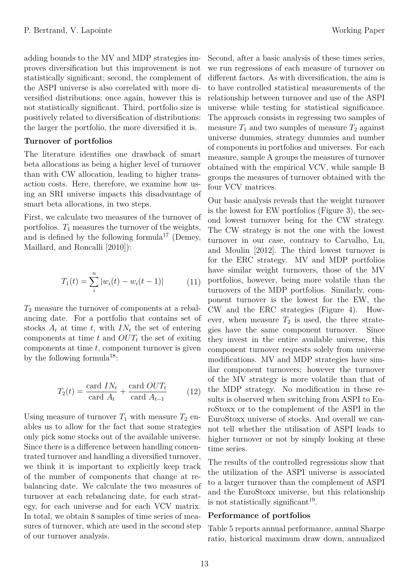adding bounds to the MV and MDP strategies improves diversification but this improvement is not statistically significant; second, the complement of the ASPI universe is also correlated with more diversified distributions; once again, however this is not statistically significant. Third, portfolio size is positively related to diversification of distributions: the larger the portfolio, the more diversified it is.

### **Turnover of portfolios**

The literature identifies one drawback of smart beta allocations as being a higher level of turnover than with CW allocation, leading to higher transaction costs. Here, therefore, we examine how using an SRI universe impacts this disadvantage of smart beta allocations, in two steps.

First, we calculate two measures of the turnover of portfolios.  $T_1$  measures the turnover of the weights, and is defined by the following formula<sup>17</sup> (Demey, Maillard, and Roncalli [2010]):

$$
T_1(t) = \sum_{i}^{n} |w_i(t) - w_i(t-1)| \tag{11}
$$

*T*<sup>2</sup> measure the turnover of components at a rebalancing date. For a portfolio that contains set of stocks  $A_t$  at time  $t$ , with  $IN_t$  the set of entering components at time *t* and *OUT<sup>t</sup>* the set of exiting components at time *t*, component turnover is given by the following formula<sup>18</sup>:

$$
T_2(t) = \frac{\text{card } IN_t}{\text{card } A_t} + \frac{\text{card } OUT_t}{\text{card } A_{t-1}} \tag{12}
$$

Using measure of turnover  $T_1$  with measure  $T_2$  enables us to allow for the fact that some strategies only pick some stocks out of the available universe. Since there is a difference between handling concentrated turnover and handling a diversified turnover, we think it is important to explicitly keep track of the number of components that change at rebalancing date. We calculate the two measures of turnover at each rebalancing date, for each strategy, for each universe and for each VCV matrix. In total, we obtain 8 samples of time series of measures of turnover, which are used in the second step of our turnover analysis.

Second, after a basic analysis of these times series, we run regressions of each measure of turnover on different factors. As with diversification, the aim is to have controlled statistical measurements of the relationship between turnover and use of the ASPI universe while testing for statistical significance. The approach consists in regressing two samples of measure  $T_1$  and two samples of measure  $T_2$  against universe dummies, strategy dummies and number of components in portfolios and universes. For each measure, sample A groups the measures of turnover obtained with the empirical VCV, while sample B groups the measures of turnover obtained with the four VCV matrices.

Our basic analysis reveals that the weight turnover is the lowest for EW portfolios (Figure 3), the second lowest turnover being for the CW strategy. The CW strategy is not the one with the lowest turnover in our case, contrary to Carvalho, Lu, and Moulin [2012]. The third lowest turnover is for the ERC strategy. MV and MDP portfolios have similar weight turnovers, those of the MV portfolios, however, being more volatile than the turnovers of the MDP portfolios. Similarly, component turnover is the lowest for the EW, the CW and the ERC strategies (Figure 4). However, when measure  $T_2$  is used, the three strategies have the same component turnover. Since they invest in the entire available universe, this component turnover requests solely from universe modifications. MV and MDP strategies have similar component turnovers; however the turnover of the MV strategy is more volatile than that of the MDP strategy. No modification in these results is observed when switching from ASPI to EuroStoxx or to the complement of the ASPI in the EuroStoxx universe of stocks. And overall we cannot tell whether the utilisation of ASPI leads to higher turnover or not by simply looking at these time series.

The results of the controlled regressions show that the utilization of the ASPI universe is associated to a larger turnover than the complement of ASPI and the EuroStoxx universe, but this relationship is not statistically significant<sup>19</sup>.

## **Performance of portfolios**

Table 5 reports annual performance, annual Sharpe ratio, historical maximum draw down, annualized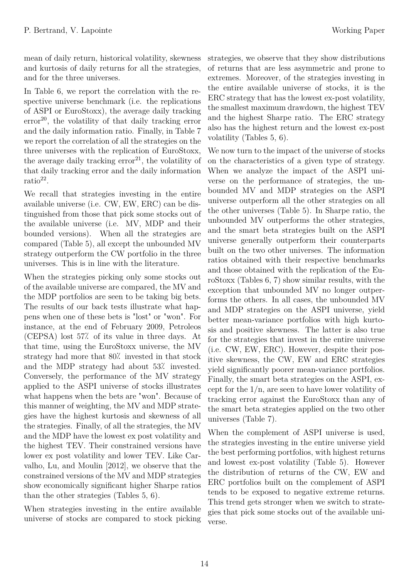mean of daily return, historical volatility, skewness and kurtosis of daily returns for all the strategies, and for the three universes.

In Table 6, we report the correlation with the respective universe benchmark (i.e. the replications of ASPI or EuroStoxx), the average daily tracking  $error<sup>20</sup>$ , the volatility of that daily tracking error and the daily information ratio. Finally, in Table 7 we report the correlation of all the strategies on the three universes with the replication of EuroStoxx, the average daily tracking  $error<sup>21</sup>$ , the volatility of that daily tracking error and the daily information ratio<sup>22</sup> .

We recall that strategies investing in the entire available universe (i.e. CW, EW, ERC) can be distinguished from those that pick some stocks out of the available universe (i.e. MV, MDP and their bounded versions). When all the strategies are compared (Table 5), all except the unbounded MV strategy outperform the CW portfolio in the three universes. This is in line with the literature.

When the strategies picking only some stocks out of the available universe are compared, the MV and the MDP portfolios are seen to be taking big bets. The results of our back tests illustrate what happens when one of these bets is "lost" or "won". For instance, at the end of February 2009, Petroleos  $(CEPSA)$  lost 57% of its value in three days. At that time, using the EuroStoxx universe, the MV strategy had more that 80% invested in that stock and the MDP strategy had about 53% invested. Conversely, the performance of the MV strategy applied to the ASPI universe of stocks illustrates what happens when the bets are "won". Because of this manner of weighting, the MV and MDP strategies have the highest kurtosis and skewness of all the strategies. Finally, of all the strategies, the MV and the MDP have the lowest ex post volatility and the highest TEV. Their constrained versions have lower ex post volatility and lower TEV. Like Carvalho, Lu, and Moulin [2012], we observe that the constrained versions of the MV and MDP strategies show economically significant higher Sharpe ratios than the other strategies (Tables 5, 6).

When strategies investing in the entire available universe of stocks are compared to stock picking

strategies, we observe that they show distributions of returns that are less asymmetric and prone to extremes. Moreover, of the strategies investing in the entire available universe of stocks, it is the ERC strategy that has the lowest ex-post volatility, the smallest maximum drawdown, the highest TEV and the highest Sharpe ratio. The ERC strategy also has the highest return and the lowest ex-post volatility (Tables 5, 6).

We now turn to the impact of the universe of stocks on the characteristics of a given type of strategy. When we analyze the impact of the ASPI universe on the performance of strategies, the unbounded MV and MDP strategies on the ASPI universe outperform all the other strategies on all the other universes (Table 5). In Sharpe ratio, the unbounded MV outperforms the other strategies, and the smart beta strategies built on the ASPI universe generally outperform their counterparts built on the two other universes. The information ratios obtained with their respective benchmarks and those obtained with the replication of the EuroStoxx (Tables 6, 7) show similar results, with the exception that unbounded MV no longer outperforms the others. In all cases, the unbounded MV and MDP strategies on the ASPI universe, yield better mean-variance portfolios with high kurtosis and positive skewness. The latter is also true for the strategies that invest in the entire universe (i.e. CW, EW, ERC). However, despite their positive skewness, the CW, EW and ERC strategies yield significantly poorer mean-variance portfolios. Finally, the smart beta strategies on the ASPI, except for the  $1/n$ , are seen to have lower volatility of tracking error against the EuroStoxx than any of the smart beta strategies applied on the two other universes (Table 7).

When the complement of ASPI universe is used, the strategies investing in the entire universe yield the best performing portfolios, with highest returns and lowest ex-post volatility (Table 5). However the distribution of returns of the CW, EW and ERC portfolios built on the complement of ASPI tends to be exposed to negative extreme returns. This trend gets stronger when we switch to strategies that pick some stocks out of the available universe.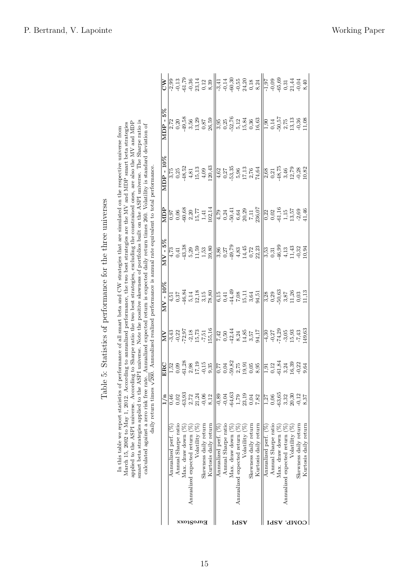| :                                                                                |
|----------------------------------------------------------------------------------|
| )<br> <br>                                                                       |
| )<br> <br>                                                                       |
|                                                                                  |
| morroring to the thing of the thrown to the thrown<br>j<br>i<br>֕<br>ì<br>ł<br>ł |
| ļ                                                                                |
| $-2 + 7 + 7 + 0 + 0$<br>֧֧֚֚֚֚֚֚֚֚֚֚֚֚֚֚֚֚֬֡֡֡֓֡֡֡֡֬֝֓֡֬֝֓֡֬֝֬֓<br>)<br>2<br>Ï   |
| Ì<br>Ĩ<br>ì<br>É                                                                 |

| In this table we report statistics of performance of all smart beta and CW strategies that are simulated on the respective universe from | March 15, 2002 to May 1, 2012. According to annualized performance, the two best strategies are the MV and MDP smart beta strategies | applied to the ASPI universe. According to Sharpe ratio the two best strategies, excluding the constrained ones, are also the MV and MDP | smart beta strategies applied to the ASPI universe. Note the positive skewness of portfolios built on the ASPI universe. The Sharpe ratio is | calculated against a zero risk free rate. Annualized expected return is expected daily return times 260. Volatility is standard deviation of | daily return times $\sqrt{260}$ . Annualized realized performance is annual rate equivalent to total performance. |
|------------------------------------------------------------------------------------------------------------------------------------------|--------------------------------------------------------------------------------------------------------------------------------------|------------------------------------------------------------------------------------------------------------------------------------------|----------------------------------------------------------------------------------------------------------------------------------------------|----------------------------------------------------------------------------------------------------------------------------------------------|-------------------------------------------------------------------------------------------------------------------|

|                    |                                    | 1/n                                                        |                                                                                                                                                                                                                                                                                                                                                                         |                                                                                                                                                                                                                                                                                                                                                                    | $MV - 10\%$ | NDP | $MDP - 10\%$                                                                                                                                                                                                                                                                                                                                                                           | $MDP - 5\%$                                                                                                                                                                                                                                                                                                                                                                                                                                                                                                                                                                                                           |  |
|--------------------|------------------------------------|------------------------------------------------------------|-------------------------------------------------------------------------------------------------------------------------------------------------------------------------------------------------------------------------------------------------------------------------------------------------------------------------------------------------------------------------|--------------------------------------------------------------------------------------------------------------------------------------------------------------------------------------------------------------------------------------------------------------------------------------------------------------------------------------------------------------------|-------------|-----|----------------------------------------------------------------------------------------------------------------------------------------------------------------------------------------------------------------------------------------------------------------------------------------------------------------------------------------------------------------------------------------|-----------------------------------------------------------------------------------------------------------------------------------------------------------------------------------------------------------------------------------------------------------------------------------------------------------------------------------------------------------------------------------------------------------------------------------------------------------------------------------------------------------------------------------------------------------------------------------------------------------------------|--|
|                    | Annualized perf. (%                | 0,46                                                       |                                                                                                                                                                                                                                                                                                                                                                         |                                                                                                                                                                                                                                                                                                                                                                    |             |     |                                                                                                                                                                                                                                                                                                                                                                                        |                                                                                                                                                                                                                                                                                                                                                                                                                                                                                                                                                                                                                       |  |
|                    | Annual Sharpe ratio                |                                                            |                                                                                                                                                                                                                                                                                                                                                                         |                                                                                                                                                                                                                                                                                                                                                                    |             |     |                                                                                                                                                                                                                                                                                                                                                                                        |                                                                                                                                                                                                                                                                                                                                                                                                                                                                                                                                                                                                                       |  |
|                    | Max. draw down $(\%)$              | $0,02$<br>$-63,93$                                         |                                                                                                                                                                                                                                                                                                                                                                         |                                                                                                                                                                                                                                                                                                                                                                    |             |     |                                                                                                                                                                                                                                                                                                                                                                                        |                                                                                                                                                                                                                                                                                                                                                                                                                                                                                                                                                                                                                       |  |
|                    | Annualized expected return (%)     |                                                            |                                                                                                                                                                                                                                                                                                                                                                         |                                                                                                                                                                                                                                                                                                                                                                    |             |     |                                                                                                                                                                                                                                                                                                                                                                                        |                                                                                                                                                                                                                                                                                                                                                                                                                                                                                                                                                                                                                       |  |
| xxo1go.ma          | Volatility (%)                     | $2,72$<br>$21,24$<br>$-0,06$                               |                                                                                                                                                                                                                                                                                                                                                                         |                                                                                                                                                                                                                                                                                                                                                                    |             |     |                                                                                                                                                                                                                                                                                                                                                                                        |                                                                                                                                                                                                                                                                                                                                                                                                                                                                                                                                                                                                                       |  |
|                    | Skewness daily return              |                                                            |                                                                                                                                                                                                                                                                                                                                                                         |                                                                                                                                                                                                                                                                                                                                                                    |             |     |                                                                                                                                                                                                                                                                                                                                                                                        |                                                                                                                                                                                                                                                                                                                                                                                                                                                                                                                                                                                                                       |  |
|                    | Kurtosis daily return              | 8,12                                                       | $\frac{1}{2} \left  \begin{matrix} 1 & 0 & 0 & 0 & 0 \\ 0 & 0 & 0 & 0 & 0 \\ 0 & 0 & 0 & 0 & 0 \\ 0 & 0 & 0 & 0 & 0 \end{matrix} \right  \left  \begin{matrix} 1 & 0 & 0 & 0 & 0 \\ 0 & 0 & 0 & 0 & 0 \\ 0 & 0 & 0 & 0 & 0 \\ 0 & 0 & 0 & 0 & 0 \end{matrix} \right  \left  \begin{matrix} 1 & 0 & 0 & 0 & 0 \\ 0 & 0 & 0 & 0 & 0 \\ 0 & 0 & 0 & 0 & 0 \\ 0 & 0 & 0 & $ | $\sum_{i=1}^{n} \frac{1}{2} \sum_{i=1}^{n} \frac{1}{2} \sum_{i=1}^{n} \frac{1}{2} \left[ \frac{1}{2} \sum_{i=1}^{n} \frac{1}{2} \sum_{i=1}^{n} \frac{1}{2} \sum_{i=1}^{n} \frac{1}{2} \sum_{i=1}^{n} \frac{1}{2} \sum_{i=1}^{n} \frac{1}{2} \sum_{i=1}^{n} \frac{1}{2} \sum_{i=1}^{n} \frac{1}{2} \sum_{i=1}^{n} \frac{1}{2} \sum_{i=1}^{n} \frac{1}{2} \sum_{i=1$ |             |     | $\begin{vmatrix} \frac{1}{12} & \frac{1}{12} & \frac{1}{12} & \frac{1}{12} & \frac{1}{12} & \frac{1}{12} & \frac{1}{12} & \frac{1}{12} & \frac{1}{12} & \frac{1}{12} & \frac{1}{12} & \frac{1}{12} & \frac{1}{12} & \frac{1}{12} & \frac{1}{12} & \frac{1}{12} & \frac{1}{12} & \frac{1}{12} & \frac{1}{12} & \frac{1}{12} & \frac{1}{12} & \frac{1}{12} & \frac{1}{12} & \frac{1}{12$ | $\begin{vmatrix} \alpha & \beta & \beta & \beta \\ \alpha & \beta & \beta & \beta \\ \alpha & \beta & \beta & \beta \end{vmatrix} \begin{vmatrix} \alpha & \beta & \beta & \beta \\ \beta & \beta & \beta & \beta \\ \beta & \beta & \beta & \beta \end{vmatrix} \begin{vmatrix} \beta & \beta & \beta & \beta \\ \beta & \beta & \beta & \beta \\ \beta & \beta & \beta & \beta \end{vmatrix} \begin{vmatrix} \beta & \beta & \beta & \beta \\ \beta & \beta & \beta & \beta \\ \beta & \beta & \beta & \beta \end{vmatrix} \begin{vmatrix} \beta & \beta & \beta & \beta \\ \beta & \beta & \beta & \beta \\ \beta$ |  |
|                    | Annualized perf. (%)               | $-0,89$                                                    |                                                                                                                                                                                                                                                                                                                                                                         |                                                                                                                                                                                                                                                                                                                                                                    |             |     |                                                                                                                                                                                                                                                                                                                                                                                        |                                                                                                                                                                                                                                                                                                                                                                                                                                                                                                                                                                                                                       |  |
|                    | Annual Sharpe ratio                | $-0,04$                                                    |                                                                                                                                                                                                                                                                                                                                                                         |                                                                                                                                                                                                                                                                                                                                                                    |             |     |                                                                                                                                                                                                                                                                                                                                                                                        |                                                                                                                                                                                                                                                                                                                                                                                                                                                                                                                                                                                                                       |  |
|                    | Max. draw down $(\%)$              |                                                            |                                                                                                                                                                                                                                                                                                                                                                         |                                                                                                                                                                                                                                                                                                                                                                    |             |     |                                                                                                                                                                                                                                                                                                                                                                                        |                                                                                                                                                                                                                                                                                                                                                                                                                                                                                                                                                                                                                       |  |
| $_{\mathrm{IASV}}$ | Annualized expected return (%)     |                                                            |                                                                                                                                                                                                                                                                                                                                                                         |                                                                                                                                                                                                                                                                                                                                                                    |             |     |                                                                                                                                                                                                                                                                                                                                                                                        |                                                                                                                                                                                                                                                                                                                                                                                                                                                                                                                                                                                                                       |  |
|                    | Volatility (%)                     | $-64,63$<br>$1,79$<br>$1,33$<br>$0,04$<br>$7,82$<br>$7,82$ |                                                                                                                                                                                                                                                                                                                                                                         |                                                                                                                                                                                                                                                                                                                                                                    |             |     |                                                                                                                                                                                                                                                                                                                                                                                        |                                                                                                                                                                                                                                                                                                                                                                                                                                                                                                                                                                                                                       |  |
|                    | Skewness daily return              |                                                            |                                                                                                                                                                                                                                                                                                                                                                         |                                                                                                                                                                                                                                                                                                                                                                    |             |     |                                                                                                                                                                                                                                                                                                                                                                                        |                                                                                                                                                                                                                                                                                                                                                                                                                                                                                                                                                                                                                       |  |
|                    | Kurtosis daily return              |                                                            |                                                                                                                                                                                                                                                                                                                                                                         |                                                                                                                                                                                                                                                                                                                                                                    |             |     |                                                                                                                                                                                                                                                                                                                                                                                        |                                                                                                                                                                                                                                                                                                                                                                                                                                                                                                                                                                                                                       |  |
|                    | Annualized perf. (%                | $\overline{1,27}$                                          |                                                                                                                                                                                                                                                                                                                                                                         |                                                                                                                                                                                                                                                                                                                                                                    |             |     |                                                                                                                                                                                                                                                                                                                                                                                        |                                                                                                                                                                                                                                                                                                                                                                                                                                                                                                                                                                                                                       |  |
|                    | Annual Sharpe ratio                | 0,06                                                       |                                                                                                                                                                                                                                                                                                                                                                         |                                                                                                                                                                                                                                                                                                                                                                    |             |     |                                                                                                                                                                                                                                                                                                                                                                                        |                                                                                                                                                                                                                                                                                                                                                                                                                                                                                                                                                                                                                       |  |
| $_{\mathrm{IdSV}}$ | Max. draw down $(\%$               | $-63,65$                                                   |                                                                                                                                                                                                                                                                                                                                                                         |                                                                                                                                                                                                                                                                                                                                                                    |             |     |                                                                                                                                                                                                                                                                                                                                                                                        |                                                                                                                                                                                                                                                                                                                                                                                                                                                                                                                                                                                                                       |  |
|                    | Annualized expected return $(\% )$ |                                                            |                                                                                                                                                                                                                                                                                                                                                                         |                                                                                                                                                                                                                                                                                                                                                                    |             |     |                                                                                                                                                                                                                                                                                                                                                                                        |                                                                                                                                                                                                                                                                                                                                                                                                                                                                                                                                                                                                                       |  |
| .AMO               | Volatility (%)                     | $3,32$<br>$20,30$<br>$-0,12$                               |                                                                                                                                                                                                                                                                                                                                                                         |                                                                                                                                                                                                                                                                                                                                                                    |             |     |                                                                                                                                                                                                                                                                                                                                                                                        |                                                                                                                                                                                                                                                                                                                                                                                                                                                                                                                                                                                                                       |  |
|                    | Skewness daily return              |                                                            |                                                                                                                                                                                                                                                                                                                                                                         |                                                                                                                                                                                                                                                                                                                                                                    |             |     |                                                                                                                                                                                                                                                                                                                                                                                        |                                                                                                                                                                                                                                                                                                                                                                                                                                                                                                                                                                                                                       |  |
|                    | Kurtosis daily return              | 3,37                                                       |                                                                                                                                                                                                                                                                                                                                                                         |                                                                                                                                                                                                                                                                                                                                                                    |             |     |                                                                                                                                                                                                                                                                                                                                                                                        |                                                                                                                                                                                                                                                                                                                                                                                                                                                                                                                                                                                                                       |  |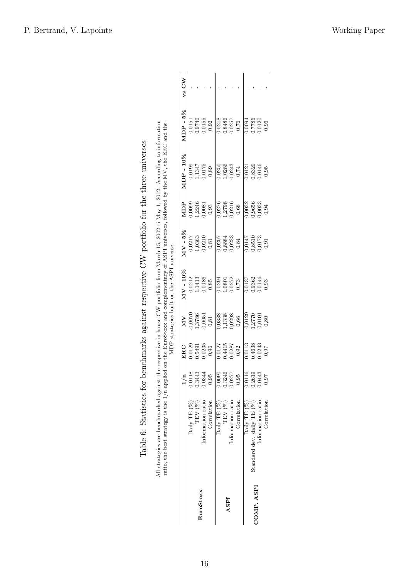|            | All strategies are benchmarked against the respective in-house CW portfolio from March 15, 2002 ti May 1, 2012. According to information<br>ratio, the best strategy is the $1/n$ applied on the EuroStoxx and complementary of ASPI universes, followed by the MV, the ERC and the |                                                                  |                                    |                                    | MDP strategies built on the ASPI universe.              |                                                         |                                                         |                                                                   |                                                         |         |
|------------|-------------------------------------------------------------------------------------------------------------------------------------------------------------------------------------------------------------------------------------------------------------------------------------|------------------------------------------------------------------|------------------------------------|------------------------------------|---------------------------------------------------------|---------------------------------------------------------|---------------------------------------------------------|-------------------------------------------------------------------|---------------------------------------------------------|---------|
|            |                                                                                                                                                                                                                                                                                     | $\mathbf{u}$                                                     | $_{\rm{ERC}}$                      | NN                                 | $\rm{MV}$ - $10\%$                                      | $MV - 5\%$                                              | Д<br>ПМ                                                 | $\mathrm{MDP}$ - $10\%$                                           | $MDP - 5%$                                              | $vs$ CW |
|            | Daily TE $(\%)$                                                                                                                                                                                                                                                                     |                                                                  |                                    |                                    | 0,0212                                                  | 0,0217                                                  | 0,0099                                                  |                                                                   | 0,0151                                                  |         |
|            | TEV (%)                                                                                                                                                                                                                                                                             |                                                                  | 0,0129<br>0,5491<br>0,0235<br>0,96 | $\frac{0,0070}{1,3786}$<br>1,3786  |                                                         |                                                         |                                                         | $\begin{array}{c} 0,0199 \\ 1,1347 \\ 0,0175 \\ 0,89 \end{array}$ | $\begin{array}{c} 0.9740 \\ 0.0155 \\ 0.92 \end{array}$ |         |
| EuroStoxx  | Information ratio                                                                                                                                                                                                                                                                   |                                                                  |                                    |                                    |                                                         |                                                         |                                                         |                                                                   |                                                         |         |
|            | Correlation                                                                                                                                                                                                                                                                         |                                                                  |                                    | 0,81                               | $\begin{array}{c} 1,1413 \\ 0,0186 \\ 0,85 \end{array}$ | $\begin{array}{c} 1,0363 \\ 0,0210 \\ 0,81 \end{array}$ | $\begin{array}{c} 1,2246 \\ 0,0081 \\ 0,93 \end{array}$ |                                                                   |                                                         |         |
|            | Daily TE (%)                                                                                                                                                                                                                                                                        | 0,0118<br>0,3443<br>0,0344<br>0,0000<br>0,3246<br>0,0577<br>0,95 |                                    |                                    |                                                         |                                                         | 0,0276<br>1,2798<br>0,0216<br>0,68                      |                                                                   |                                                         |         |
| ASPI       | TEV (%)                                                                                                                                                                                                                                                                             |                                                                  | 0,0127<br>0,4415<br>0,0287<br>0,92 | 0,0338<br>1,1338<br>0,0298         | 0,0294<br>1,0801<br>0,0272<br>0,73                      | 0,0207<br>0,8884<br>0,0233<br>0,84                      |                                                         | 0,0250<br>1,0286<br>0,0243                                        | 0,0218<br>0,8486<br>0,0257<br>0,76                      |         |
|            | Information ratio                                                                                                                                                                                                                                                                   |                                                                  |                                    |                                    |                                                         |                                                         |                                                         |                                                                   |                                                         |         |
|            | Correlation                                                                                                                                                                                                                                                                         |                                                                  |                                    | 0,66                               |                                                         |                                                         |                                                         | $0,74$                                                            |                                                         |         |
|            | Daily TE (%)                                                                                                                                                                                                                                                                        | $\frac{16}{116}$                                                 |                                    |                                    | $\frac{0.0137}{0}$                                      | 0,0147                                                  |                                                         | $\frac{0,0121}{0}$                                                |                                                         |         |
| COMP. ASPI | Standard dev. daily TE (%)                                                                                                                                                                                                                                                          | 0,2619                                                           | 0,0113<br>0,4638<br>0,0243         | $\frac{1}{2}$<br>1,2770<br>-0,0101 | 0,9362<br>0,0146                                        | 0,8510                                                  | 0.0032<br>0.9656<br>0.0033                              | 0,8320<br>0,0146                                                  | $\frac{0.0094}{0.7786}$<br>0.0120                       |         |
|            | Information ratio                                                                                                                                                                                                                                                                   | ,0443                                                            |                                    |                                    |                                                         |                                                         |                                                         |                                                                   |                                                         |         |
|            | Correlation                                                                                                                                                                                                                                                                         | 76'                                                              | $0.97$                             | 0,80                               | 0,93                                                    | 0,91                                                    | 0,94                                                    | 0,95                                                              | 0,96                                                    |         |
|            |                                                                                                                                                                                                                                                                                     |                                                                  |                                    |                                    |                                                         |                                                         |                                                         |                                                                   |                                                         |         |

Table 6: Statistics for benchmarks against respective CW portfolio for the three universes Table 6: Statistics for benchmarks against respective CW portfolio for the three universes All strategies are benchmarked against the respective in-house CW portfolio from March 15, 2002 ti May 1, 2012. According to information ratio. the best strategy is the 1/n applied on the BuroStoxx and complementary of AS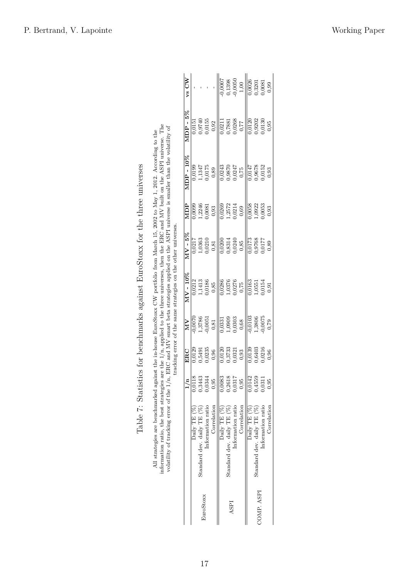| are the $1/n$ , applied to the three universes, then the ERC and MV built on the ASPI universe. The<br>volatility of tracking error of the $1/n$ , ERC and MV smart beta strategies applied on the ASPI universe is smaller than the volatility of<br>All strategies are benchmarked against the in-house EuroStoxx CW portfolio from March 15, 2002 to May 1, 2012. According to the<br>tracking error of the same strategies on the other universes. | vs CW<br>$MDP - 5\%$<br>MDP-10%<br>ДUIN<br>$MV - 5\%$<br>$\mathrm{MV}$ - $10\%$<br>NN<br>ERC | 0,0151<br>0,0199<br>0,0099<br>0,0217<br>0,0212<br>0,0070<br>0,0129 | 0,9740<br>1,1413<br>0,0186<br>1,3786<br>-0,0051 | 0,0155<br>1,1347<br>0,0175<br>1,2246<br>0,0081<br>1,0363<br>0,0210<br>0,5491<br>0,0235 | 0,92<br>0,89<br>0,93<br>0,81<br>0,85<br>0,81<br>0,96 | 0,0007<br>0,0211<br>0,0243<br>0,0269<br>$\frac{0.0200}{5}$<br>0,0286<br>$\frac{1}{0.0331}$<br>0,0120 | 0,8314<br>0,0240<br>0,3733<br>0,0321                           | 0,1398<br>0,0050<br>0,7881<br>0,0268<br>0,77<br>0,9870<br>0,0247<br>1,2572<br>0,0214<br>1,0376<br>0,0276<br>1,0909<br>0,0303 | 1,00<br>0,75<br>0,69<br>0,85<br>0,75<br>$0,68$<br>0,93 | 0,0026<br>0.0120<br>1,0147<br>0,0058<br>1,0173<br>0,0163<br>0,0103<br>0,0139 | 0,3201<br>0,0081<br>0,9202<br>0,9678<br>.,0922<br>0,0768<br>0,0177<br>1,0551<br>1,3806<br>0,6403<br>0,0216 | 0.0130<br>0,0152<br>0.0053<br>0,0154<br>0,0075 | 0,99<br>0,95<br>0,93<br>0,93<br>0,89 |
|--------------------------------------------------------------------------------------------------------------------------------------------------------------------------------------------------------------------------------------------------------------------------------------------------------------------------------------------------------------------------------------------------------------------------------------------------------|----------------------------------------------------------------------------------------------|--------------------------------------------------------------------|-------------------------------------------------|----------------------------------------------------------------------------------------|------------------------------------------------------|------------------------------------------------------------------------------------------------------|----------------------------------------------------------------|------------------------------------------------------------------------------------------------------------------------------|--------------------------------------------------------|------------------------------------------------------------------------------|------------------------------------------------------------------------------------------------------------|------------------------------------------------|--------------------------------------|
|                                                                                                                                                                                                                                                                                                                                                                                                                                                        |                                                                                              |                                                                    |                                                 |                                                                                        |                                                      |                                                                                                      |                                                                |                                                                                                                              |                                                        |                                                                              |                                                                                                            |                                                |                                      |
|                                                                                                                                                                                                                                                                                                                                                                                                                                                        |                                                                                              |                                                                    |                                                 |                                                                                        |                                                      |                                                                                                      |                                                                |                                                                                                                              |                                                        |                                                                              |                                                                                                            |                                                |                                      |
|                                                                                                                                                                                                                                                                                                                                                                                                                                                        |                                                                                              |                                                                    |                                                 |                                                                                        |                                                      |                                                                                                      |                                                                |                                                                                                                              |                                                        |                                                                              |                                                                                                            |                                                | 0,91                                 |
|                                                                                                                                                                                                                                                                                                                                                                                                                                                        |                                                                                              |                                                                    |                                                 |                                                                                        |                                                      |                                                                                                      |                                                                |                                                                                                                              |                                                        |                                                                              |                                                                                                            |                                                | 0,79                                 |
|                                                                                                                                                                                                                                                                                                                                                                                                                                                        |                                                                                              |                                                                    |                                                 |                                                                                        |                                                      |                                                                                                      |                                                                |                                                                                                                              |                                                        |                                                                              |                                                                                                            |                                                | 0,96                                 |
|                                                                                                                                                                                                                                                                                                                                                                                                                                                        |                                                                                              |                                                                    | 0,0118<br>0,3443<br>0,0344<br>0,95              |                                                                                        |                                                      |                                                                                                      | $\begin{array}{c} 0.0083 \ 0.2618 \ 0.0317 \ 0.95 \end{array}$ |                                                                                                                              |                                                        |                                                                              | $0,0142$<br>$0,4559$<br>$0,0311$                                                                           |                                                | 0,95                                 |
| information ratio, the best strategies                                                                                                                                                                                                                                                                                                                                                                                                                 |                                                                                              | Daily TE (%)                                                       | Standard dev. daily TE (%)                      | Information ratio                                                                      | Correlation                                          | Daily TE (%)                                                                                         | Standard dev. daily TE (%)                                     | Information ratio                                                                                                            | Correlation                                            | Daily TE (%)                                                                 | Standard dev. daily $TE(%)$                                                                                | Information ratio                              | Correlation                          |
|                                                                                                                                                                                                                                                                                                                                                                                                                                                        |                                                                                              |                                                                    | EuroStoxx                                       |                                                                                        |                                                      |                                                                                                      | ASPI                                                           |                                                                                                                              |                                                        |                                                                              | COMP. ASPI                                                                                                 |                                                |                                      |

| Í                                   |
|-------------------------------------|
| )<br>I                              |
| )<br>3<br>I                         |
| i<br>1. 1. 1. 1. 1. 1. 1. 1.<br>)   |
|                                     |
| J                                   |
| こうこうこう こうしょう こうしょうしょう<br>į          |
| l<br>- -<br>F<br>$\frac{1}{2}$<br>I |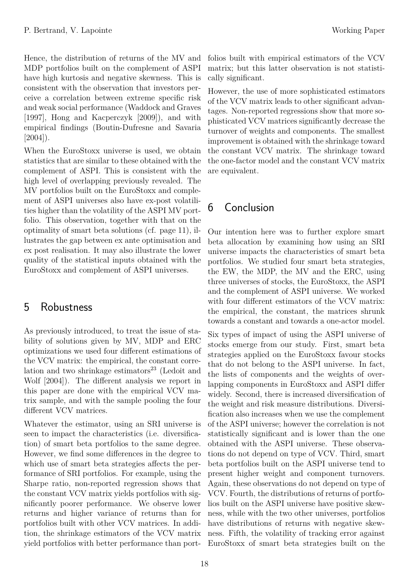Hence, the distribution of returns of the MV and MDP portfolios built on the complement of ASPI have high kurtosis and negative skewness. This is consistent with the observation that investors perceive a correlation between extreme specific risk and weak social performance (Waddock and Graves [1997], Hong and Kacperczyk [2009]), and with empirical findings (Boutin-Dufresne and Savaria  $[2004]$ ).

When the EuroStoxx universe is used, we obtain statistics that are similar to these obtained with the complement of ASPI. This is consistent with the high level of overlapping previously revealed. The MV portfolios built on the EuroStoxx and complement of ASPI universes also have ex-post volatilities higher than the volatility of the ASPI MV portfolio. This observation, together with that on the optimality of smart beta solutions (cf. page 11), illustrates the gap between ex ante optimisation and ex post realisation. It may also illustrate the lower quality of the statistical inputs obtained with the EuroStoxx and complement of ASPI universes.

## 5 Robustness

As previously introduced, to treat the issue of stability of solutions given by MV, MDP and ERC optimizations we used four different estimations of the VCV matrix: the empirical, the constant correlation and two shrinkage estimators<sup>23</sup> (Ledoit and Wolf [2004]). The different analysis we report in this paper are done with the empirical VCV matrix sample, and with the sample pooling the four different VCV matrices.

Whatever the estimator, using an SRI universe is seen to impact the characteristics (i.e. diversification) of smart beta portfolios to the same degree. However, we find some differences in the degree to which use of smart beta strategies affects the performance of SRI portfolios. For example, using the Sharpe ratio, non-reported regression shows that the constant VCV matrix yields portfolios with significantly poorer performance. We observe lower returns and higher variance of returns than for portfolios built with other VCV matrices. In addition, the shrinkage estimators of the VCV matrix yield portfolios with better performance than port-

folios built with empirical estimators of the VCV matrix; but this latter observation is not statistically significant.

However, the use of more sophisticated estimators of the VCV matrix leads to other significant advantages. Non-reported regressions show that more sophisticated VCV matrices significantly decrease the turnover of weights and components. The smallest improvement is obtained with the shrinkage toward the constant VCV matrix. The shrinkage toward the one-factor model and the constant VCV matrix are equivalent.

## 6 Conclusion

Our intention here was to further explore smart beta allocation by examining how using an SRI universe impacts the characteristics of smart beta portfolios. We studied four smart beta strategies, the EW, the MDP, the MV and the ERC, using three universes of stocks, the EuroStoxx, the ASPI and the complement of ASPI universe. We worked with four different estimators of the VCV matrix: the empirical, the constant, the matrices shrunk towards a constant and towards a one-actor model.

Six types of impact of using the ASPI universe of stocks emerge from our study. First, smart beta strategies applied on the EuroStoxx favour stocks that do not belong to the ASPI universe. In fact, the lists of components and the weights of overlapping components in EuroStoxx and ASPI differ widely. Second, there is increased diversification of the weight and risk measure distributions. Diversification also increases when we use the complement of the ASPI universe; however the correlation is not statistically significant and is lower than the one obtained with the ASPI universe. These observations do not depend on type of VCV. Third, smart beta portfolios built on the ASPI universe tend to present higher weight and component turnovers. Again, these observations do not depend on type of VCV. Fourth, the distributions of returns of portfolios built on the ASPI universe have positive skewness, while with the two other universes, portfolios have distributions of returns with negative skewness. Fifth, the volatility of tracking error against EuroStoxx of smart beta strategies built on the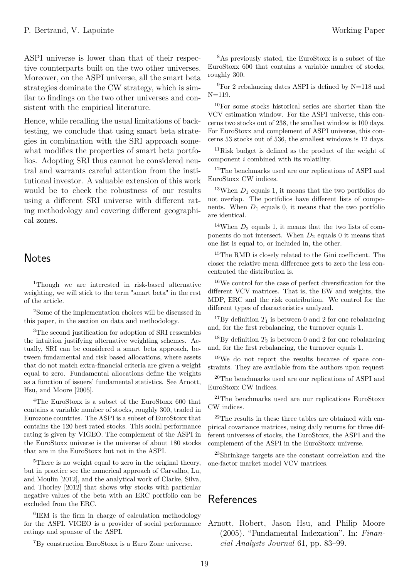ASPI universe is lower than that of their respective counterparts built on the two other universes. Moreover, on the ASPI universe, all the smart beta strategies dominate the CW strategy, which is similar to findings on the two other universes and consistent with the empirical literature.

Hence, while recalling the usual limitations of backtesting, we conclude that using smart beta strategies in combination with the SRI approach somewhat modifies the properties of smart beta portfolios. Adopting SRI thus cannot be considered neutral and warrants careful attention from the institutional investor. A valuable extension of this work would be to check the robustness of our results using a different SRI universe with different rating methodology and covering different geographical zones.

## **Notes**

<sup>1</sup>Though we are interested in risk-based alternative weighting, we will stick to the term "smart beta" in the rest of the article.

<sup>2</sup>Some of the implementation choices will be discussed in this paper, in the section on data and methodology.

<sup>3</sup>The second justification for adoption of SRI ressembles the intuition justifying alternative weighting schemes. Actually, SRI can be considered a smart beta approach, between fundamental and risk based allocations, where assets that do not match extra-financial criteria are given a weight equal to zero. Fundamental allocations define the weights as a function of issuers' fundamental statistics. See Arnott, Hsu, and Moore [2005].

<sup>4</sup>The EuroStoxx is a subset of the EuroStoxx 600 that contains a variable number of stocks, roughly 300, traded in Eurozone countries. The ASPI is a subset of EuroStoxx that contains the 120 best rated stocks. This social performance rating is given by VIGEO. The complement of the ASPI in the EuroStoxx universe is the universe of about 180 stocks that are in the EuroStoxx but not in the ASPI.

<sup>5</sup>There is no weight equal to zero in the original theory, but in practice see the numerical approach of Carvalho, Lu, and Moulin [2012], and the analytical work of Clarke, Silva, and Thorley [2012] that shows why stocks with particular negative values of the beta with an ERC portfolio can be excluded from the ERC.

6 IEM is the firm in charge of calculation methodology for the ASPI. VIGEO is a provider of social performance ratings and sponsor of the ASPI.

<sup>7</sup>By construction EuroStoxx is a Euro Zone universe.

<sup>8</sup>As previously stated, the EuroStoxx is a subset of the EuroStoxx 600 that contains a variable number of stocks, roughly 300.

 $9$ For 2 rebalancing dates ASPI is defined by N=118 and  $N=119$ .

<sup>10</sup>For some stocks historical series are shorter than the VCV estimation window. For the ASPI universe, this concerns two stocks out of 238, the smallest window is 100 days. For EuroStoxx and complement of ASPI universe, this concerns 53 stocks out of 536, the smallest windows is 12 days.

<sup>11</sup>Risk budget is defined as the product of the weight of component *i* combined with its volatility.

<sup>12</sup>The benchmarks used are our replications of ASPI and EuroStoxx CW indices.

<sup>13</sup>When  $D_1$  equals 1, it means that the two portfolios do not overlap. The portfolios have different lists of components. When  $D_1$  equals 0, it means that the two portfolio are identical.

<sup>14</sup>When  $D_2$  equals 1, it means that the two lists of components do not intersect. When *D*<sup>2</sup> equals 0 it means that one list is equal to, or included in, the other.

 $^{15}\mathrm{The}$  RMD is closely related to the Gini coefficient. The closer the relative mean difference gets to zero the less concentrated the distribution is.

 $\rm ^{16}We$  control for the case of perfect diversification for the different VCV matrices. That is, the EW and weights, the MDP, ERC and the risk contribution. We control for the different types of characteristics analyzed.

<sup>17</sup>By definition  $T_1$  is between 0 and 2 for one rebalancing and, for the first rebalancing, the turnover equals 1.

<sup>18</sup>By definition  $T_2$  is between 0 and 2 for one rebalancing and, for the first rebalancing, the turnover equals 1.

<sup>19</sup>We do not report the results because of space constraints. They are available from the authors upon request

<sup>20</sup>The benchmarks used are our replications of ASPI and EuroStoxx CW indices.

<sup>21</sup>The benchmarks used are our replications EuroStoxx CW indices.

 $22$ The results in these three tables are obtained with empirical covariance matrices, using daily returns for three different universes of stocks, the EuroStoxx, the ASPI and the complement of the ASPI in the EuroStoxx universe.

<sup>23</sup>Shrinkage targets are the constant correlation and the one-factor market model VCV matrices.

## References

Arnott, Robert, Jason Hsu, and Philip Moore (2005). "Fundamental Indexation". In: *Financial Analysts Journal* 61, pp. 83–99.